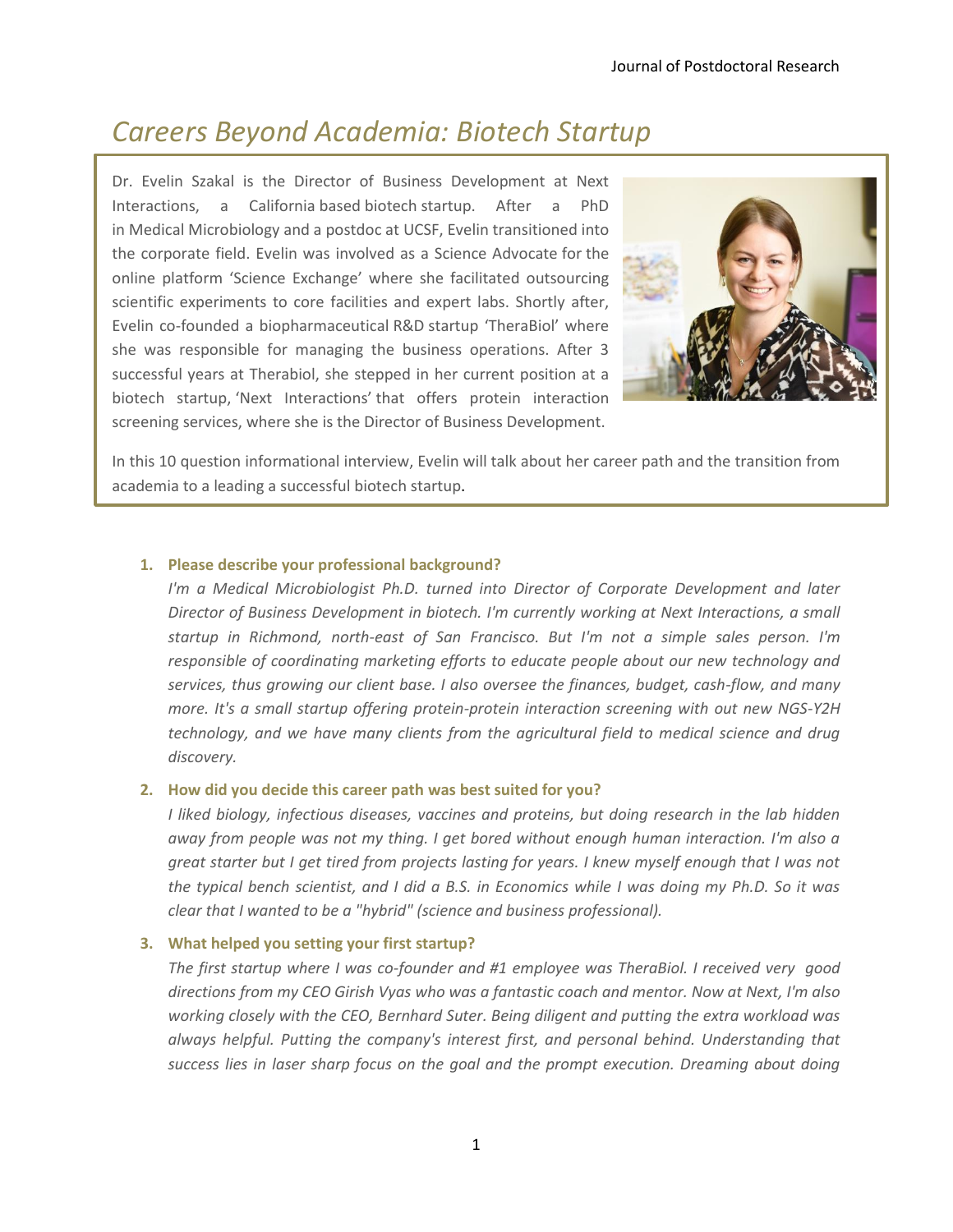# *Careers Beyond Academia: Biotech Startup*

Dr. Evelin Szakal is the Director of Business Development at Next Interactions, a California based biotech startup. After a PhD in Medical Microbiology and a postdoc at UCSF, Evelin transitioned into the corporate field. Evelin was involved as a Science Advocate for the online platform 'Science Exchange' where she facilitated outsourcing scientific experiments to core facilities and expert labs. Shortly after, Evelin co-founded a biopharmaceutical R&D startup 'TheraBiol' where she was responsible for managing the business operations. After 3 successful years at Therabiol, she stepped in her current position at a biotech startup, 'Next Interactions' that offers protein interaction screening services, where she is the Director of Business Development.



In this 10 question informational interview, Evelin will talk about her career path and the transition from academia to a leading a successful biotech startup.

# **1. Please describe your professional background?**

*I'm a Medical Microbiologist Ph.D. turned into Director of Corporate Development and later Director of Business Development in biotech. I'm currently working at Next Interactions, a small startup in Richmond, north-east of San Francisco. But I'm not a simple sales person. I'm responsible of coordinating marketing efforts to educate people about our new technology and services, thus growing our client base. I also oversee the finances, budget, cash-flow, and many more. It's a small startup offering protein-protein interaction screening with out new NGS-Y2H technology, and we have many clients from the agricultural field to medical science and drug discovery.* 

## **2. How did you decide this career path was best suited for you?**

*I liked biology, infectious diseases, vaccines and proteins, but doing research in the lab hidden away from people was not my thing. I get bored without enough human interaction. I'm also a great starter but I get tired from projects lasting for years. I knew myself enough that I was not the typical bench scientist, and I did a B.S. in Economics while I was doing my Ph.D. So it was clear that I wanted to be a "hybrid" (science and business professional).*

# **3. What helped you setting your first startup?**

*The first startup where I was co-founder and #1 employee was TheraBiol. I received very good directions from my CEO Girish Vyas who was a fantastic coach and mentor. Now at Next, I'm also working closely with the CEO, Bernhard Suter. Being diligent and putting the extra workload was always helpful. Putting the company's interest first, and personal behind. Understanding that success lies in laser sharp focus on the goal and the prompt execution. Dreaming about doing*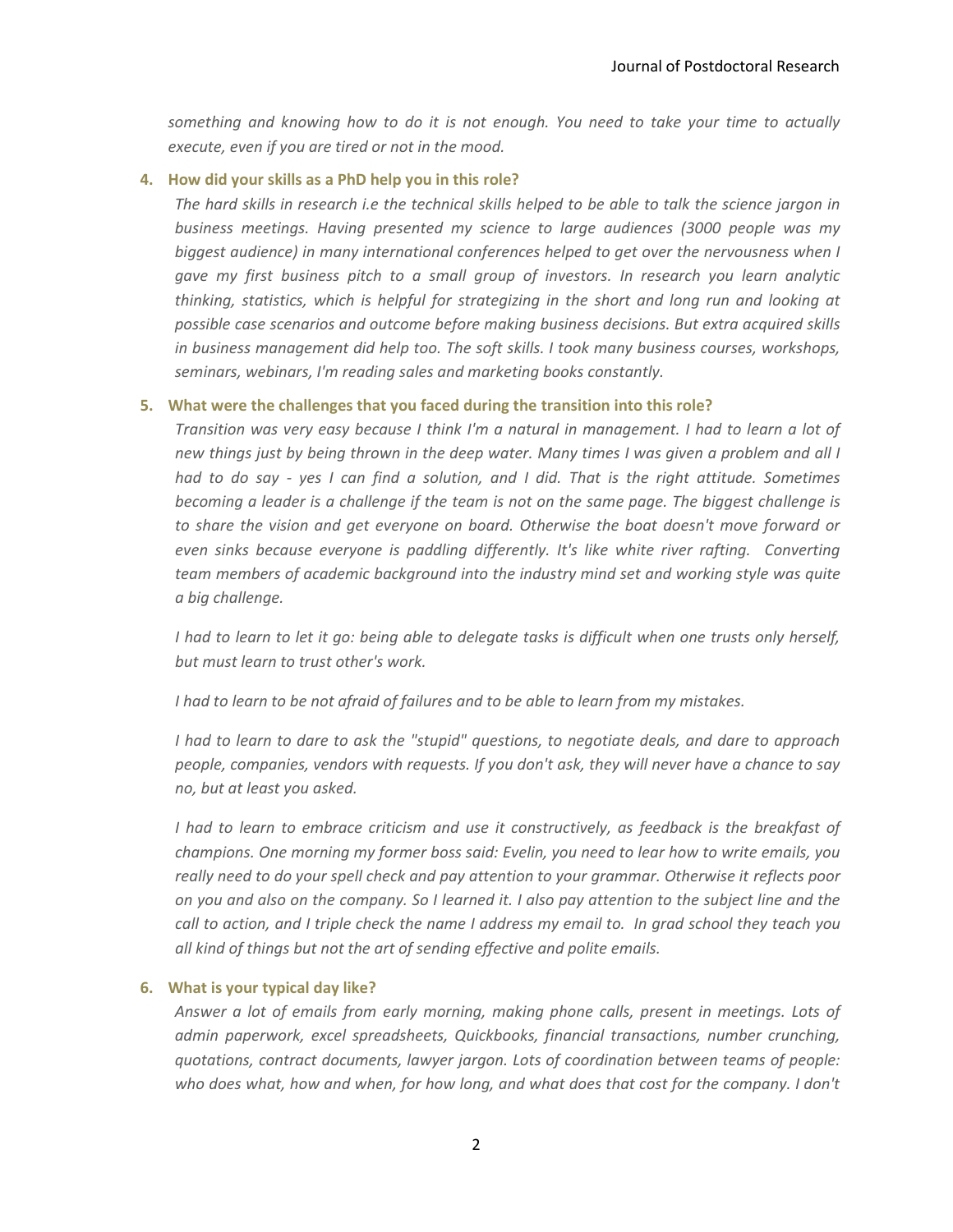*something and knowing how to do it is not enough. You need to take your time to actually execute, even if you are tired or not in the mood.* 

#### **4. How did your skills as a PhD help you in this role?**

*The hard skills in research i.e the technical skills helped to be able to talk the science jargon in business meetings. Having presented my science to large audiences (3000 people was my biggest audience) in many international conferences helped to get over the nervousness when I gave my first business pitch to a small group of investors. In research you learn analytic thinking, statistics, which is helpful for strategizing in the short and long run and looking at possible case scenarios and outcome before making business decisions. But extra acquired skills in business management did help too. The soft skills. I took many business courses, workshops, seminars, webinars, I'm reading sales and marketing books constantly.* 

#### **5. What were the challenges that you faced during the transition into this role?**

*Transition was very easy because I think I'm a natural in management. I had to learn a lot of new things just by being thrown in the deep water. Many times I was given a problem and all I had to do say - yes I can find a solution, and I did. That is the right attitude. Sometimes becoming a leader is a challenge if the team is not on the same page. The biggest challenge is to share the vision and get everyone on board. Otherwise the boat doesn't move forward or even sinks because everyone is paddling differently. It's like white river rafting. Converting team members of academic background into the industry mind set and working style was quite a big challenge.* 

*I had to learn to let it go: being able to delegate tasks is difficult when one trusts only herself, but must learn to trust other's work.* 

*I had to learn to be not afraid of failures and to be able to learn from my mistakes.* 

*I had to learn to dare to ask the "stupid" questions, to negotiate deals, and dare to approach people, companies, vendors with requests. If you don't ask, they will never have a chance to say no, but at least you asked.* 

*I had to learn to embrace criticism and use it constructively, as feedback is the breakfast of champions. One morning my former boss said: Evelin, you need to lear how to write emails, you*  really need to do your spell check and pay attention to your grammar. Otherwise it reflects poor *on you and also on the company. So I learned it. I also pay attention to the subject line and the call to action, and I triple check the name I address my email to. In grad school they teach you all kind of things but not the art of sending effective and polite emails.*

#### **6. What is your typical day like?**

*Answer a lot of emails from early morning, making phone calls, present in meetings. Lots of admin paperwork, excel spreadsheets, Quickbooks, financial transactions, number crunching, quotations, contract documents, lawyer jargon. Lots of coordination between teams of people: who does what, how and when, for how long, and what does that cost for the company. I don't*